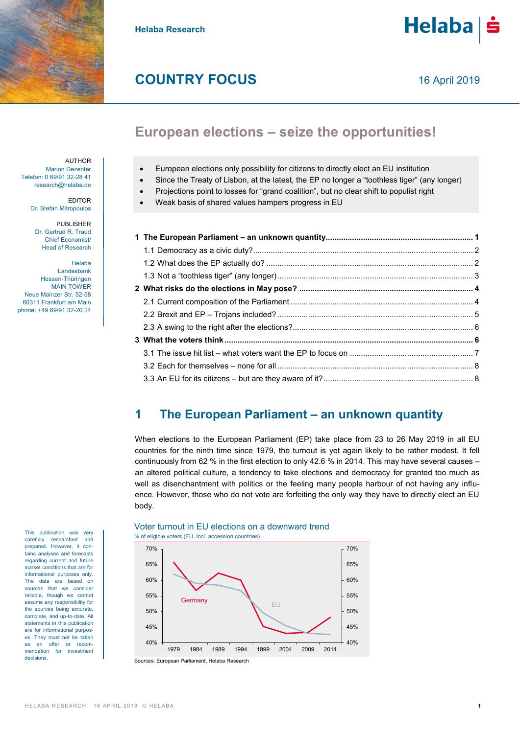

**Helaba Research**



# **COUNTRY FOCUS**

# **European elections – seize the opportunities!**

AUTHOR

Marion Dezenter Telefon: 0 69/91 32-28 41 research@helaba.de

> EDITOR Dr. Stefan Mitropoulos

PUBLISHER Dr. Gertrud R. Traud Chief Economist/ Head of Research

Helaba Landesbank Hessen-Thüringen MAIN TOWER Neue Mainzer Str. 52-58 60311 Frankfurt am Main phone: +49 69/91 32-20 24

This publication was very carefully researched and prepared. However, it contains analyses and forecasts regarding current and future market conditions that are for informational purposes only. The data are based on sources that we consider reliable, though we cannot assume any responsibility for the sources being accurate, complete, and up-to-date. All statements in this publication are for informational purposes. They must not be taken as an offer or recommendation for investment decisions.

European elections only possibility for citizens to directly elect an EU institution

- Since the Treaty of Lisbon, at the latest, the EP no longer a "toothless tiger" (any longer)
- Projections point to losses for "grand coalition", but no clear shift to populist right
- Weak basis of shared values hampers progress in EU

# <span id="page-0-0"></span>**1 The European Parliament – an unknown quantity**

When elections to the European Parliament (EP) take place from 23 to 26 May 2019 in all EU countries for the ninth time since 1979, the turnout is yet again likely to be rather modest. It fell continuously from 62 % in the first election to only 42.6 % in 2014. This may have several causes – an altered political culture, a tendency to take elections and democracy for granted too much as well as disenchantment with politics or the feeling many people harbour of not having any influence. However, those who do not vote are forfeiting the only way they have to directly elect an EU body.

#### % of eligible voters (EU, incl. accession countries) Sources: European Parliament, Helaba Research 40% 45% 50% 55% 60% 65% 70% 40% 45% 50% 55% 60% 65% 70% 1979 1984 1989 1994 1999 2004 2009 2014 **Germany** EU

# Voter turnout in EU elections on a downward trend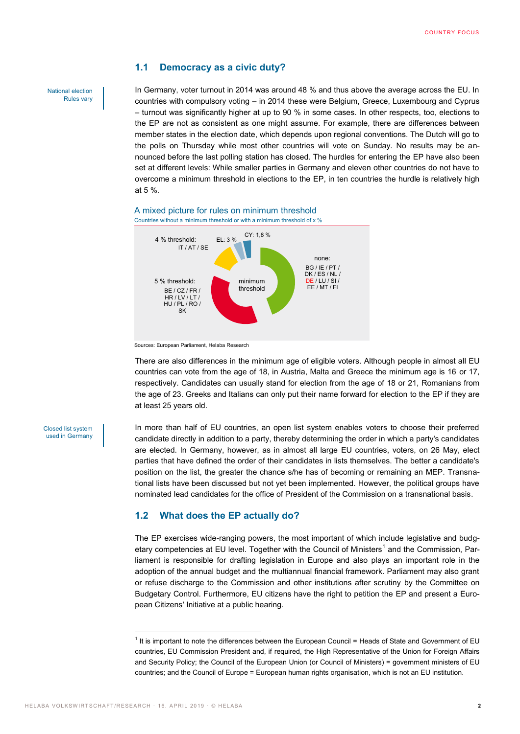### <span id="page-1-0"></span>**1.1 Democracy as a civic duty?**

In Germany, voter turnout in 2014 was around 48 % and thus above the average across the EU. In countries with compulsory voting – in 2014 these were Belgium, Greece, Luxembourg and Cyprus – turnout was significantly higher at up to 90 % in some cases. In other respects, too, elections to the EP are not as consistent as one might assume. For example, there are differences between member states in the election date, which depends upon regional conventions. The Dutch will go to the polls on Thursday while most other countries will vote on Sunday. No results may be announced before the last polling station has closed. The hurdles for entering the EP have also been set at different levels: While smaller parties in Germany and eleven other countries do not have to overcome a minimum threshold in elections to the EP, in ten countries the hurdle is relatively high at 5 %.



A mixed picture for rules on minimum threshold Countries without a minimum threshold or with a minimum threshold of  $x$  %

There are also differences in the minimum age of eligible voters. Although people in almost all EU countries can vote from the age of 18, in Austria, Malta and Greece the minimum age is 16 or 17, respectively. Candidates can usually stand for election from the age of 18 or 21, Romanians from the age of 23. Greeks and Italians can only put their name forward for election to the EP if they are at least 25 years old.

#### Closed list system used in Germany

National election Rules vary

> In more than half of EU countries, an open list system enables voters to choose their preferred candidate directly in addition to a party, thereby determining the order in which a party's candidates are elected. In Germany, however, as in almost all large EU countries, voters, on 26 May, elect parties that have defined the order of their candidates in lists themselves. The better a candidate's position on the list, the greater the chance s/he has of becoming or remaining an MEP. Transnational lists have been discussed but not yet been implemented. However, the political groups have nominated lead candidates for the office of President of the Commission on a transnational basis.

### <span id="page-1-1"></span>**1.2 What does the EP actually do?**

The EP exercises wide-ranging powers, the most important of which include legislative and budgetary competencies at EU level. Together with the Council of Ministers $^1$  and the Commission, Parliament is responsible for drafting legislation in Europe and also plays an important role in the adoption of the annual budget and the multiannual financial framework. Parliament may also grant or refuse discharge to the Commission and other institutions after scrutiny by the Committee on Budgetary Control. Furthermore, EU citizens have the right to petition the EP and present a European Citizens' Initiative at a public hearing.

 $\overline{a}$ 

Sources: European Parliament, Helaba Research

<sup>&</sup>lt;sup>1</sup> It is important to note the differences between the European Council = Heads of State and Government of EU countries, EU Commission President and, if required, the High Representative of the Union for Foreign Affairs and Security Policy; the Council of the European Union (or Council of Ministers) = government ministers of EU countries; and the Council of Europe = European human rights organisation, which is not an EU institution.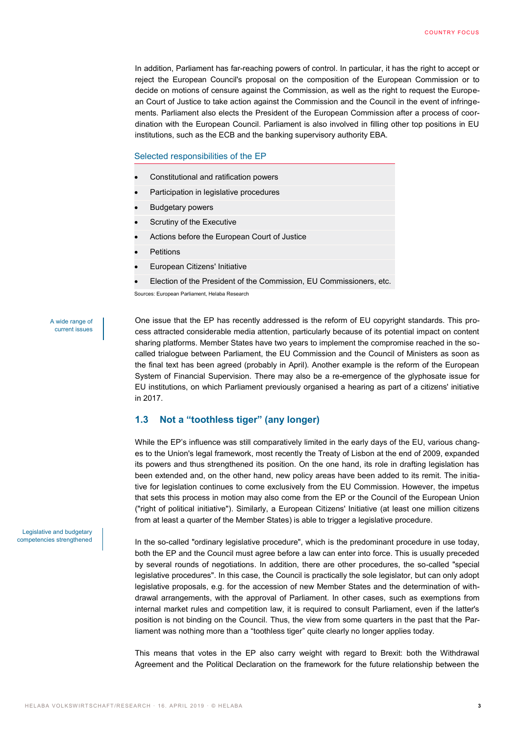In addition, Parliament has far-reaching powers of control. In particular, it has the right to accept or reject the European Council's proposal on the composition of the European Commission or to decide on motions of censure against the Commission, as well as the right to request the European Court of Justice to take action against the Commission and the Council in the event of infringements. Parliament also elects the President of the European Commission after a process of coordination with the European Council. Parliament is also involved in filling other top positions in EU institutions, such as the ECB and the banking supervisory authority EBA.

#### Selected responsibilities of the EP

- Constitutional and ratification powers
- Participation in legislative procedures
- Budgetary powers
- Scrutiny of the Executive
- Actions before the European Court of Justice
- **Petitions**
- European Citizens' Initiative
- Election of the President of the Commission, EU Commissioners, etc.

Sources: European Parliament, Helaba Research

#### A wide range of current issues

One issue that the EP has recently addressed is the reform of EU copyright standards. This process attracted considerable media attention, particularly because of its potential impact on content sharing platforms. Member States have two years to implement the compromise reached in the socalled trialogue between Parliament, the EU Commission and the Council of Ministers as soon as the final text has been agreed (probably in April). Another example is the reform of the European System of Financial Supervision. There may also be a re-emergence of the glyphosate issue for EU institutions, on which Parliament previously organised a hearing as part of a citizens' initiative in 2017.

## <span id="page-2-0"></span>**1.3 Not a "toothless tiger" (any longer)**

While the EP's influence was still comparatively limited in the early days of the EU, various changes to the Union's legal framework, most recently the Treaty of Lisbon at the end of 2009, expanded its powers and thus strengthened its position. On the one hand, its role in drafting legislation has been extended and, on the other hand, new policy areas have been added to its remit. The initiative for legislation continues to come exclusively from the EU Commission. However, the impetus that sets this process in motion may also come from the EP or the Council of the European Union ("right of political initiative"). Similarly, a European Citizens' Initiative (at least one million citizens from at least a quarter of the Member States) is able to trigger a legislative procedure.

In the so-called "ordinary legislative procedure", which is the predominant procedure in use today, both the EP and the Council must agree before a law can enter into force. This is usually preceded by several rounds of negotiations. In addition, there are other procedures, the so-called "special legislative procedures". In this case, the Council is practically the sole legislator, but can only adopt legislative proposals, e.g. for the accession of new Member States and the determination of withdrawal arrangements, with the approval of Parliament. In other cases, such as exemptions from internal market rules and competition law, it is required to consult Parliament, even if the latter's position is not binding on the Council. Thus, the view from some quarters in the past that the Parliament was nothing more than a "toothless tiger" quite clearly no longer applies today.

This means that votes in the EP also carry weight with regard to Brexit: both the Withdrawal Agreement and the Political Declaration on the framework for the future relationship between the

Legislative and budgetary competencies strengthened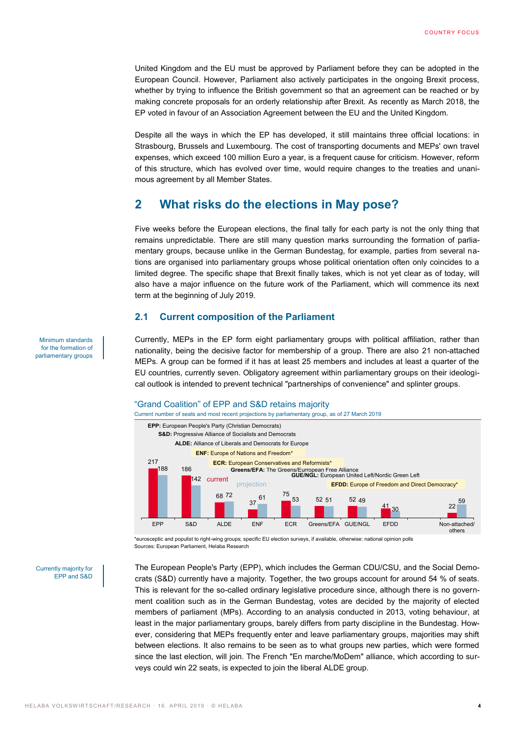United Kingdom and the EU must be approved by Parliament before they can be adopted in the European Council. However, Parliament also actively participates in the ongoing Brexit process, whether by trying to influence the British government so that an agreement can be reached or by making concrete proposals for an orderly relationship after Brexit. As recently as March 2018, the EP voted in favour of an Association Agreement between the EU and the United Kingdom.

Despite all the ways in which the EP has developed, it still maintains three official locations: in Strasbourg, Brussels and Luxembourg. The cost of transporting documents and MEPs' own travel expenses, which exceed 100 million Euro a year, is a frequent cause for criticism. However, reform of this structure, which has evolved over time, would require changes to the treaties and unanimous agreement by all Member States.

# <span id="page-3-0"></span>**2 What risks do the elections in May pose?**

Five weeks before the European elections, the final tally for each party is not the only thing that remains unpredictable. There are still many question marks surrounding the formation of parliamentary groups, because unlike in the German Bundestag, for example, parties from several nations are organised into parliamentary groups whose political orientation often only coincides to a limited degree. The specific shape that Brexit finally takes, which is not yet clear as of today, will also have a major influence on the future work of the Parliament, which will commence its next term at the beginning of July 2019.

#### <span id="page-3-1"></span>**2.1 Current composition of the Parliament**

Currently, MEPs in the EP form eight parliamentary groups with political affiliation, rather than nationality, being the decisive factor for membership of a group. There are also 21 non-attached MEPs. A group can be formed if it has at least 25 members and includes at least a quarter of the EU countries, currently seven. Obligatory agreement within parliamentary groups on their ideological outlook is intended to prevent technical "partnerships of convenience" and splinter groups.

## "Grand Coalition" of EPP and S&D retains majority



\*eurosceptic and populist to right-wing groups; specific EU election surveys, if available, otherwise: national opinion polls Sources: European Parliament, Helaba Research

Currently majority for EPP and S&D The European People's Party (EPP), which includes the German CDU/CSU, and the Social Democrats (S&D) currently have a majority. Together, the two groups account for around 54 % of seats. This is relevant for the so-called ordinary legislative procedure since, although there is no government coalition such as in the German Bundestag, votes are decided by the majority of elected members of parliament (MPs). According to an analysis conducted in 2013, voting behaviour, at least in the major parliamentary groups, barely differs from party discipline in the Bundestag. However, considering that MEPs frequently enter and leave parliamentary groups, majorities may shift between elections. It also remains to be seen as to what groups new parties, which were formed since the last election, will join. The French "En marche/MoDem" alliance, which according to surveys could win 22 seats, is expected to join the liberal ALDE group.

Minimum standards for the formation of parliamentary groups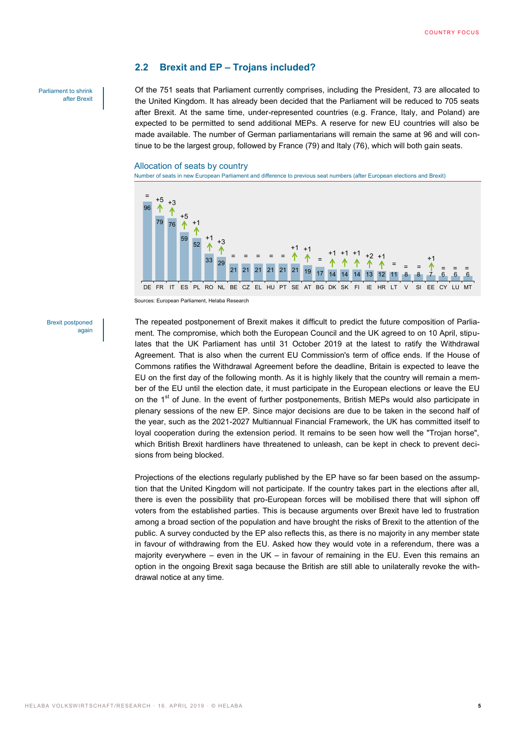#### <span id="page-4-0"></span>**2.2 Brexit and EP – Trojans included?**

Parliament to shrink after Brexit Of the 751 seats that Parliament currently comprises, including the President, 73 are allocated to the United Kingdom. It has already been decided that the Parliament will be reduced to 705 seats after Brexit. At the same time, under-represented countries (e.g. France, Italy, and Poland) are expected to be permitted to send additional MEPs. A reserve for new EU countries will also be made available. The number of German parliamentarians will remain the same at 96 and will continue to be the largest group, followed by France (79) and Italy (76), which will both gain seats.

#### Allocation of seats by country

Number of seats in new European Parliament and difference to previous seat numbers (after European elections and Brexit)



Sources: European Parliament, Helaba Research

Brexit postponed again The repeated postponement of Brexit makes it difficult to predict the future composition of Parliament. The compromise, which both the European Council and the UK agreed to on 10 April, stipulates that the UK Parliament has until 31 October 2019 at the latest to ratify the Withdrawal Agreement. That is also when the current EU Commission's term of office ends. If the House of Commons ratifies the Withdrawal Agreement before the deadline, Britain is expected to leave the EU on the first day of the following month. As it is highly likely that the country will remain a member of the EU until the election date, it must participate in the European elections or leave the EU on the 1<sup>st</sup> of June. In the event of further postponements, British MEPs would also participate in plenary sessions of the new EP. Since major decisions are due to be taken in the second half of the year, such as the 2021-2027 Multiannual Financial Framework, the UK has committed itself to loyal cooperation during the extension period. It remains to be seen how well the "Trojan horse", which British Brexit hardliners have threatened to unleash, can be kept in check to prevent decisions from being blocked.

Projections of the elections regularly published by the EP have so far been based on the assumption that the United Kingdom will not participate. If the country takes part in the elections after all, there is even the possibility that pro-European forces will be mobilised there that will siphon off voters from the established parties. This is because arguments over Brexit have led to frustration among a broad section of the population and have brought the risks of Brexit to the attention of the public. A survey conducted by the EP also reflects this, as there is no majority in any member state in favour of withdrawing from the EU. Asked how they would vote in a referendum, there was a majority everywhere  $-$  even in the UK  $-$  in favour of remaining in the EU. Even this remains an option in the ongoing Brexit saga because the British are still able to unilaterally revoke the withdrawal notice at any time.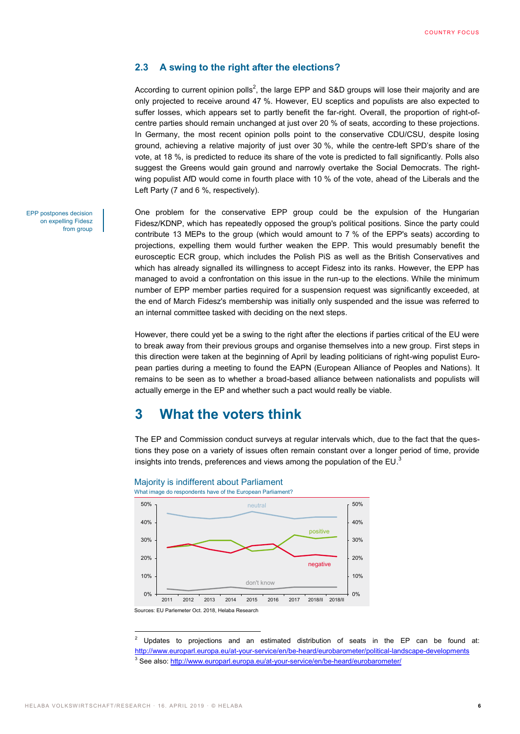## <span id="page-5-0"></span>**2.3 A swing to the right after the elections?**

According to current opinion polls<sup>2</sup>, the large EPP and S&D groups will lose their majority and are only projected to receive around 47 %. However, EU sceptics and populists are also expected to suffer losses, which appears set to partly benefit the far-right. Overall, the proportion of right-ofcentre parties should remain unchanged at just over 20 % of seats, according to these projections. In Germany, the most recent opinion polls point to the conservative CDU/CSU, despite losing ground, achieving a relative majority of just over 30 %, while the centre-left SPD's share of the vote, at 18 %, is predicted to reduce its share of the vote is predicted to fall significantly. Polls also suggest the Greens would gain ground and narrowly overtake the Social Democrats. The rightwing populist AfD would come in fourth place with 10 % of the vote, ahead of the Liberals and the Left Party (7 and 6 %, respectively).

One problem for the conservative EPP group could be the expulsion of the Hungarian Fidesz/KDNP, which has repeatedly opposed the group's political positions. Since the party could contribute 13 MEPs to the group (which would amount to 7 % of the EPP's seats) according to projections, expelling them would further weaken the EPP. This would presumably benefit the eurosceptic ECR group, which includes the Polish PiS as well as the British Conservatives and which has already signalled its willingness to accept Fidesz into its ranks. However, the EPP has managed to avoid a confrontation on this issue in the run-up to the elections. While the minimum number of EPP member parties required for a suspension request was significantly exceeded, at the end of March Fidesz's membership was initially only suspended and the issue was referred to an internal committee tasked with deciding on the next steps.

However, there could yet be a swing to the right after the elections if parties critical of the EU were to break away from their previous groups and organise themselves into a new group. First steps in this direction were taken at the beginning of April by leading politicians of right-wing populist European parties during a meeting to found the EAPN (European Alliance of Peoples and Nations). It remains to be seen as to whether a broad-based alliance between nationalists and populists will actually emerge in the EP and whether such a pact would really be viable.

# <span id="page-5-1"></span>**3 What the voters think**

The EP and Commission conduct surveys at regular intervals which, due to the fact that the questions they pose on a variety of issues often remain constant over a longer period of time, provide insights into trends, preferences and views among the population of the EU. $^3$ 



Majority is indifferent about Parliament

 $\overline{a}$ 

EPP postpones decision on expelling Fidesz from group

 $2$  Updates to projections and an estimated distribution of seats in the EP can be found at: <http://www.europarl.europa.eu/at-your-service/en/be-heard/eurobarometer/political-landscape-developments> <sup>3</sup> See also[: http://www.europarl.europa.eu/at-your-service/en/be-heard/eurobarometer/](http://www.europarl.europa.eu/at-your-service/en/be-heard/eurobarometer/)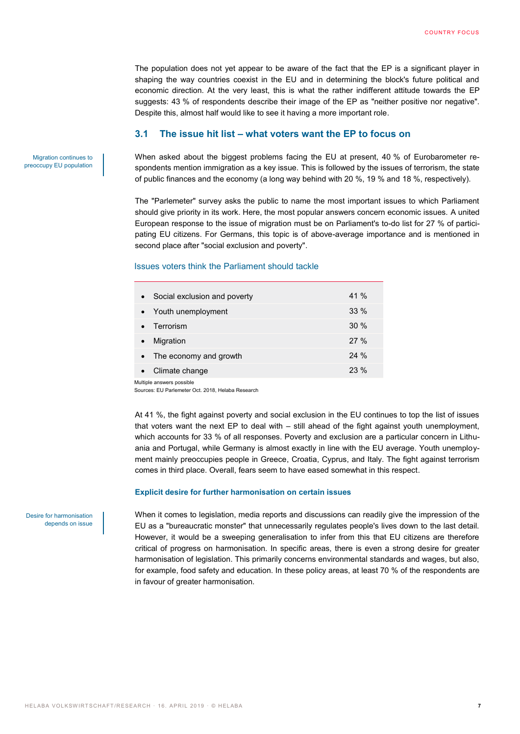The population does not yet appear to be aware of the fact that the EP is a significant player in shaping the way countries coexist in the EU and in determining the block's future political and economic direction. At the very least, this is what the rather indifferent attitude towards the EP suggests: 43 % of respondents describe their image of the EP as "neither positive nor negative". Despite this, almost half would like to see it having a more important role.

#### <span id="page-6-0"></span>**3.1 The issue hit list – what voters want the EP to focus on**

Migration continues to preoccupy EU population When asked about the biggest problems facing the EU at present, 40 % of Eurobarometer respondents mention immigration as a key issue. This is followed by the issues of terrorism, the state of public finances and the economy (a long way behind with 20 %, 19 % and 18 %, respectively).

The "Parlemeter" survey asks the public to name the most important issues to which Parliament should give priority in its work. Here, the most popular answers concern economic issues. A united European response to the issue of migration must be on Parliament's to-do list for 27 % of participating EU citizens. For Germans, this topic is of above-average importance and is mentioned in second place after "social exclusion and poverty".

#### Issues voters think the Parliament should tackle

| Social exclusion and poverty<br>$\bullet$ | $41\%$ |
|-------------------------------------------|--------|
| • Youth unemployment                      | $33\%$ |
| • Terrorism                               | 30%    |
| Migration                                 | 27%    |
| The economy and growth                    | 24%    |
| Climate change                            | 23 %   |

Multiple answers possible

Sources: EU Parlemeter Oct. 2018, Helaba Research

At 41 %, the fight against poverty and social exclusion in the EU continues to top the list of issues that voters want the next EP to deal with – still ahead of the fight against youth unemployment, which accounts for 33 % of all responses. Poverty and exclusion are a particular concern in Lithuania and Portugal, while Germany is almost exactly in line with the EU average. Youth unemployment mainly preoccupies people in Greece, Croatia, Cyprus, and Italy. The fight against terrorism comes in third place. Overall, fears seem to have eased somewhat in this respect.

#### **Explicit desire for further harmonisation on certain issues**

Desire for harmonisation depends on issue

When it comes to legislation, media reports and discussions can readily give the impression of the EU as a "bureaucratic monster" that unnecessarily regulates people's lives down to the last detail. However, it would be a sweeping generalisation to infer from this that EU citizens are therefore critical of progress on harmonisation. In specific areas, there is even a strong desire for greater harmonisation of legislation. This primarily concerns environmental standards and wages, but also, for example, food safety and education. In these policy areas, at least 70 % of the respondents are in favour of greater harmonisation.